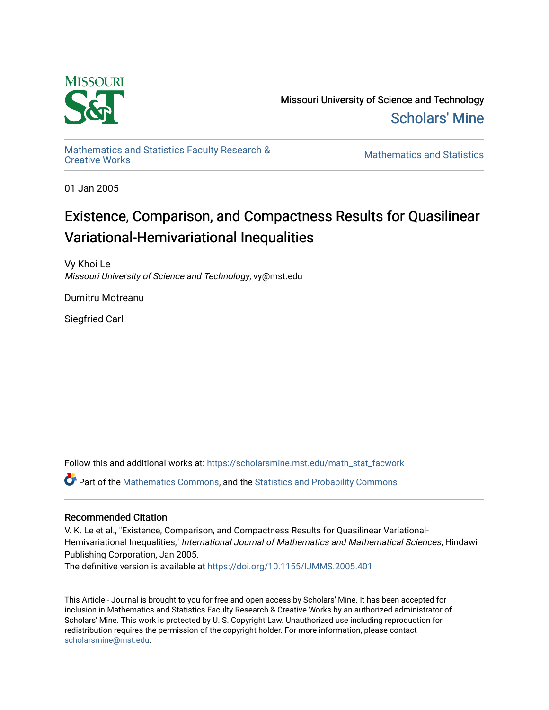

Missouri University of Science and Technology [Scholars' Mine](https://scholarsmine.mst.edu/) 

[Mathematics and Statistics Faculty Research &](https://scholarsmine.mst.edu/math_stat_facwork) 

**Mathematics and Statistics** 

01 Jan 2005

## Existence, Comparison, and Compactness Results for Quasilinear Variational-Hemivariational Inequalities

Vy Khoi Le Missouri University of Science and Technology, vy@mst.edu

Dumitru Motreanu

Siegfried Carl

Follow this and additional works at: [https://scholarsmine.mst.edu/math\\_stat\\_facwork](https://scholarsmine.mst.edu/math_stat_facwork?utm_source=scholarsmine.mst.edu%2Fmath_stat_facwork%2F669&utm_medium=PDF&utm_campaign=PDFCoverPages)

Part of the [Mathematics Commons](http://network.bepress.com/hgg/discipline/174?utm_source=scholarsmine.mst.edu%2Fmath_stat_facwork%2F669&utm_medium=PDF&utm_campaign=PDFCoverPages), and the [Statistics and Probability Commons](http://network.bepress.com/hgg/discipline/208?utm_source=scholarsmine.mst.edu%2Fmath_stat_facwork%2F669&utm_medium=PDF&utm_campaign=PDFCoverPages)

### Recommended Citation

V. K. Le et al., "Existence, Comparison, and Compactness Results for Quasilinear Variational-Hemivariational Inequalities," International Journal of Mathematics and Mathematical Sciences, Hindawi Publishing Corporation, Jan 2005.

The definitive version is available at <https://doi.org/10.1155/IJMMS.2005.401>

This Article - Journal is brought to you for free and open access by Scholars' Mine. It has been accepted for inclusion in Mathematics and Statistics Faculty Research & Creative Works by an authorized administrator of Scholars' Mine. This work is protected by U. S. Copyright Law. Unauthorized use including reproduction for redistribution requires the permission of the copyright holder. For more information, please contact [scholarsmine@mst.edu.](mailto:scholarsmine@mst.edu)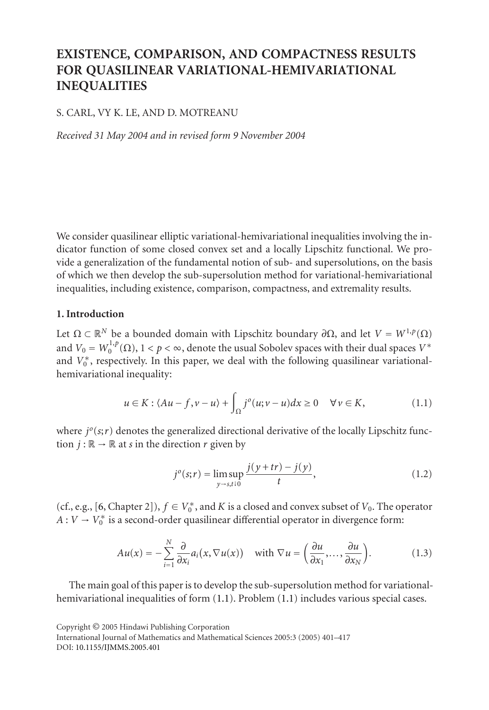## **EXISTENCE, COMPARISON, AND COMPACTNESS RESULTS FOR QUASILINEAR VARIATIONAL-HEMIVARIATIONAL INEQUALITIES**

#### S. CARL, VY K. LE, AND D. MOTREANU

*Received 31 May 2004 and in revised form 9 November 2004*

We consider quasilinear elliptic variational-hemivariational inequalities involving the indicator function of some closed convex set and a locally Lipschitz functional. We provide a generalization of the fundamental notion of sub- and supersolutions, on the basis of which we then develop the sub-supersolution method for variational-hemivariational inequalities, including existence, comparison, compactness, and extremality results.

#### **1. Introduction**

Let  $\Omega \subset \mathbb{R}^N$  be a bounded domain with Lipschitz boundary  $\partial \Omega$ , and let  $V = W^{1,p}(\Omega)$ and  $V_0 = W_0^{1,p}(\Omega),\,1 < p < \infty,$  denote the usual Sobolev spaces with their dual spaces  $V^*$ and  $V_0^*$ , respectively. In this paper, we deal with the following quasilinear variationalhemivariational inequality:

$$
u \in K : \langle Au - f, v - u \rangle + \int_{\Omega} j^{o}(u; v - u) dx \ge 0 \quad \forall v \in K,
$$
 (1.1)

where  $j^o(s;r)$  denotes the generalized directional derivative of the locally Lipschitz function  $j : \mathbb{R} \to \mathbb{R}$  at *s* in the direction *r* given by

<span id="page-1-0"></span>
$$
j^{o}(s;r) = \limsup_{y \to s,t \downarrow 0} \frac{j(y+tr) - j(y)}{t},
$$
\n(1.2)

(cf., e.g., [\[6,](#page-17-0) Chapter 2]),  $f \in V_0^*$ , and *K* is a closed and convex subset of  $V_0$ . The operator  $A: V \to V_0^*$  is a second-order quasilinear differential operator in divergence form:

$$
Au(x) = -\sum_{i=1}^{N} \frac{\partial}{\partial x_i} a_i(x, \nabla u(x)) \quad \text{with } \nabla u = \left(\frac{\partial u}{\partial x_1}, \dots, \frac{\partial u}{\partial x_N}\right). \tag{1.3}
$$

The main goal of this paper is to develop the sub-supersolution method for variationalhemivariational inequalities of form  $(1.1)$ . Problem  $(1.1)$  includes various special cases.

Copyright © 2005 Hindawi Publishing Corporation

International Journal of Mathematics and Mathematical Sciences 2005:3 (2005) 401–417 DOI: [10.1155/IJMMS.2005.401](http://dx.doi.org/10.1155/S0161171204405377)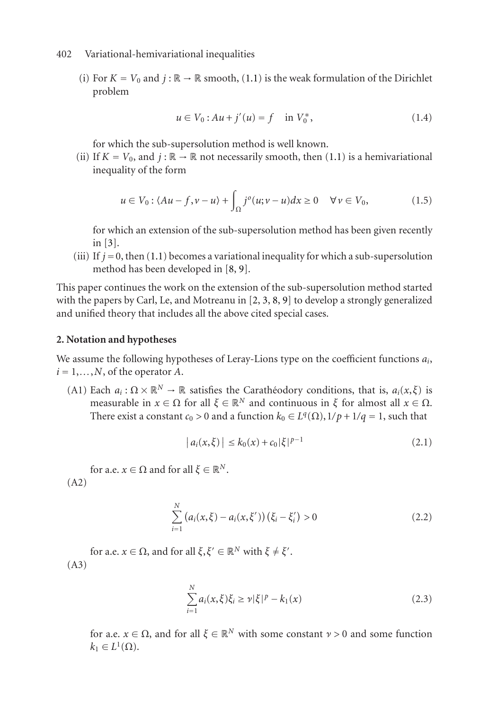(i) For  $K = V_0$  and  $j : \mathbb{R} \to \mathbb{R}$  smooth, [\(1.1\)](#page-1-0) is the weak formulation of the Dirichlet problem

$$
u \in V_0: Au + j'(u) = f \quad \text{in } V_0^*,
$$
 (1.4)

for which the sub-supersolution method is well known.

(ii) If  $K = V_0$ , and  $j : \mathbb{R} \to \mathbb{R}$  not necessarily smooth, then [\(1.1\)](#page-1-0) is a hemivariational inequality of the form

$$
u \in V_0: \langle Au - f, v - u \rangle + \int_{\Omega} j^o(u; v - u) dx \ge 0 \quad \forall v \in V_0,
$$
 (1.5)

for which an extension of the sub-supersolution method has been given recently in [\[3\]](#page-17-1).

(iii) If  $j = 0$ , then [\(1.1\)](#page-1-0) becomes a variational inequality for which a sub-supersolution method has been developed in [\[8,](#page-17-2) [9\]](#page-17-3).

This paper continues the work on the extension of the sub-supersolution method started with the papers by Carl, Le, and Motreanu in [\[2,](#page-17-4) [3,](#page-17-1) [8,](#page-17-2) [9\]](#page-17-3) to develop a strongly generalized and unified theory that includes all the above cited special cases.

#### <span id="page-2-0"></span>**2. Notation and hypotheses**

We assume the following hypotheses of Leray-Lions type on the coefficient functions *ai*,  $i = 1, \ldots, N$ , of the operator *A*.

(A1) Each  $a_i : \Omega \times \mathbb{R}^N \to \mathbb{R}$  satisfies the Caratheodory conditions, that is,  $a_i(x, \xi)$  is measurable in  $x \in \Omega$  for all  $\xi \in \mathbb{R}^N$  and continuous in  $\xi$  for almost all  $x \in \Omega$ . There exist a constant  $c_0 > 0$  and a function  $k_0 \in L^q(\Omega)$ ,  $1/p + 1/q = 1$ , such that

$$
|a_i(x,\xi)| \le k_0(x) + c_0 |\xi|^{p-1}
$$
 (2.1)

for a.e.  $x \in \Omega$  and for all  $\xi \in \mathbb{R}^N$ . (A2)

$$
\sum_{i=1}^{N} (a_i(x,\xi) - a_i(x,\xi'))(\xi_i - \xi'_i) > 0
$$
\n(2.2)

for a.e.  $x \in \Omega$ , and for all  $\xi, \xi' \in \mathbb{R}^N$  with  $\xi \neq \xi'$ . (A3)

$$
\sum_{i=1}^{N} a_i(x,\xi)\xi_i \ge \nu |\xi|^p - k_1(x) \tag{2.3}
$$

for a.e.  $x \in \Omega$ , and for all  $\xi \in \mathbb{R}^N$  with some constant  $\nu > 0$  and some function  $k_1 \in L^1(\Omega)$ .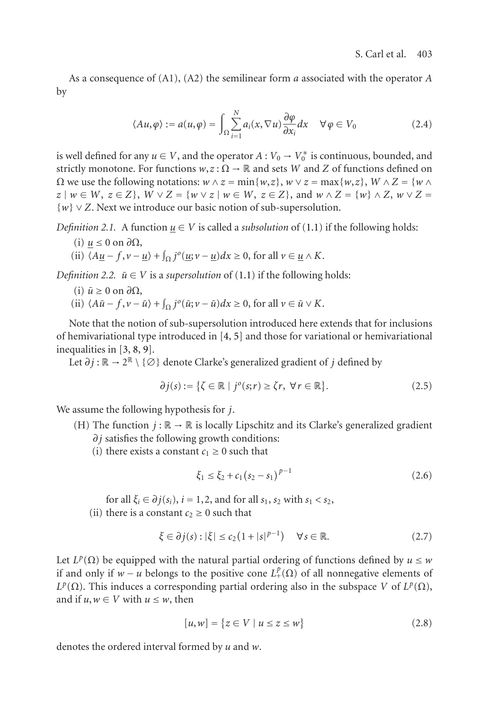As a consequence of (A1), (A2) the semilinear form *a* associated with the operator *A* by

$$
\langle Au, \varphi \rangle := a(u, \varphi) = \int_{\Omega} \sum_{i=1}^{N} a_i(x, \nabla u) \frac{\partial \varphi}{\partial x_i} dx \quad \forall \varphi \in V_0 \tag{2.4}
$$

is well defined for any  $u \in V$ , and the operator  $A: V_0 \to V_0^*$  is continuous, bounded, and strictly monotone. For functions  $w, z : \Omega \to \mathbb{R}$  and sets *W* and *Z* of functions defined on  $\Omega$  we use the following notations:  $w \wedge z = \min\{w, z\}$ ,  $w \vee z = \max\{w, z\}$ ,  $W \wedge Z = \{w \wedge z\}$  $z \mid w \in W$ ,  $z \in Z$ ,  $W \vee Z = \{w \vee z \mid w \in W$ ,  $z \in Z$ , and  $w \wedge Z = \{w\} \wedge Z$ ,  $w \vee Z =$ {*w*} ∨ *Z*. Next we introduce our basic notion of sub-supersolution.

<span id="page-3-1"></span>*Definition 2.1.* A function  $\underline{u} \in V$  is called a *subsolution* of [\(1.1\)](#page-1-0) if the following holds:

- (i) *u* ≤ 0 on *∂*Ω,
- (ii)  $\langle A\underline{u} f, v \underline{u} \rangle + \int_{\Omega} j^{\circ}(\underline{u}; v \underline{u}) dx \ge 0$ , for all  $v \in \underline{u} \wedge K$ .

<span id="page-3-0"></span>*Definition 2.2.*  $\bar{u} \in V$  is a *supersolution* of [\(1.1\)](#page-1-0) if the following holds:

- $(i)$   $\bar{u} ≥ 0$  on  $\partial Ω$ ,
- (ii)  $\langle A\overline{u} f, v \overline{u} \rangle + \int_{\Omega} j^{\circ}(\overline{u}; v \overline{u}) dx \ge 0$ , for all  $v \in \overline{u} \vee K$ .

Note that the notion of sub-supersolution introduced here extends that for inclusions of hemivariational type introduced in [\[4,](#page-17-5) [5\]](#page-17-6) and those for variational or hemivariational inequalities in [\[3,](#page-17-1) [8,](#page-17-2) [9\]](#page-17-3).

Let *∂j* : R → 2<sup>R</sup> \ {∅} denote Clarke's generalized gradient of *j* defined by

$$
\partial j(s) := \{ \zeta \in \mathbb{R} \mid j^o(s; r) \ge \zeta r, \ \forall r \in \mathbb{R} \}. \tag{2.5}
$$

We assume the following hypothesis for *j*.

- (H) The function  $j : \mathbb{R} \to \mathbb{R}$  is locally Lipschitz and its Clarke's generalized gradient *∂j* satisfies the following growth conditions:
	- (i) there exists a constant  $c_1 \geq 0$  such that

$$
\xi_1 \le \xi_2 + c_1 (s_2 - s_1)^{p-1} \tag{2.6}
$$

for all  $\xi_i \in \partial j(s_i)$ ,  $i = 1, 2$ , and for all  $s_1$ ,  $s_2$  with  $s_1 < s_2$ ,

(ii) there is a constant  $c_2 \geq 0$  such that

$$
\xi \in \partial j(s) : |\xi| \le c_2 \left( 1 + |s|^{p-1} \right) \quad \forall s \in \mathbb{R}.\tag{2.7}
$$

Let  $L^p(\Omega)$  be equipped with the natural partial ordering of functions defined by  $u \leq w$ if and only if  $w - u$  belongs to the positive cone  $L^p_+(\Omega)$  of all nonnegative elements of  $L^p(\Omega)$ . This induces a corresponding partial ordering also in the subspace *V* of  $L^p(\Omega)$ , and if  $u, w \in V$  with  $u \leq w$ , then

$$
[u, w] = \{ z \in V \mid u \le z \le w \}
$$
\n(2.8)

denotes the ordered interval formed by *u* and *w*.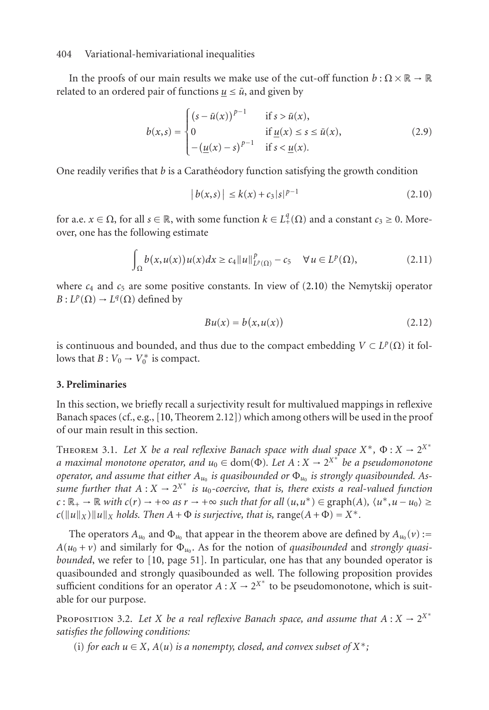In the proofs of our main results we make use of the cut-off function  $b : \Omega \times \mathbb{R} \to \mathbb{R}$ related to an ordered pair of functions  $u \leq \bar{u}$ , and given by

$$
b(x,s) = \begin{cases} (s - \bar{u}(x))^{p-1} & \text{if } s > \bar{u}(x), \\ 0 & \text{if } \underline{u}(x) \le s \le \bar{u}(x), \\ -(\underline{u}(x) - s)^{p-1} & \text{if } s < \underline{u}(x). \end{cases}
$$
 (2.9)

One readily verifies that *b* is a Carathéodory function satisfying the growth condition

<span id="page-4-2"></span><span id="page-4-1"></span><span id="page-4-0"></span>
$$
|b(x,s)| \le k(x) + c_3|s|^{p-1}
$$
 (2.10)

for a.e.  $x \in \Omega$ , for all  $s \in \mathbb{R}$ , with some function  $k \in L^q_+(\Omega)$  and a constant  $c_3 \geq 0$ . Moreover, one has the following estimate

$$
\int_{\Omega} b(x, u(x)) u(x) dx \ge c_4 \|u\|_{L^p(\Omega)}^p - c_5 \quad \forall u \in L^p(\Omega), \tag{2.11}
$$

where  $c_4$  and  $c_5$  are some positive constants. In view of [\(2.10\)](#page-4-0) the Nemytskij operator  $B: L^p(\Omega) \to L^q(\Omega)$  defined by

$$
Bu(x) = b(x, u(x))
$$
\n(2.12)

is continuous and bounded, and thus due to the compact embedding  $V \subset L^p(\Omega)$  it follows that  $B: V_0 \to V_0^*$  is compact.

#### **3. Preliminaries**

In this section, we briefly recall a surjectivity result for multivalued mappings in reflexive Banach spaces (cf., e.g., [\[10,](#page-17-7) Theorem 2.12]) which among others will be used in the proof of our main result in this section.

THEOREM 3.1. Let *X* be a real reflexive Banach space with dual space  $X^*$ ,  $\Phi$  :  $X \to 2^{X^*}$ *a maximal monotone operator, and u*<sup>0</sup> <sup>∈</sup> dom(Φ)*. Let A* : *X* <sup>→</sup> 2*X*<sup>∗</sup> *be a pseudomonotone operator, and assume that either Au*<sup>0</sup> *is quasibounded or* Φ*u*<sup>0</sup> *is strongly quasibounded. Assume further that*  $A: X \to 2^{X^*}$  *is*  $u_0$ -coercive, that *is*, there exists a real-valued function  $c: \mathbb{R}_+ \to \mathbb{R}$  *with*  $c(r) \to +\infty$  *as*  $r \to +\infty$  *such that for all*  $(u, u^*) \in \text{graph}(A)$ *,*  $\langle u^*, u - u_0 \rangle \ge$  $c(||u||_X)$  *u* $||_X$  *holds. Then*  $A + \Phi$  *is surjective, that is, range* $(A + \Phi) = X^*$ .

The operators  $A_{u_0}$  and  $\Phi_{u_0}$  that appear in the theorem above are defined by  $A_{u_0}(v)$ :=  $A(u_0 + v)$  and similarly for  $\Phi_{u_0}$ . As for the notion of *quasibounded* and *strongly quasibounded*, we refer to [\[10,](#page-17-7) page 51]. In particular, one has that any bounded operator is quasibounded and strongly quasibounded as well. The following proposition provides sufficient conditions for an operator  $A: X \to 2^{X^*}$  to be pseudomonotone, which is suitable for our purpose.

PROPOSITION 3.2. Let *X* be a real reflexive Banach space, and assume that  $A: X \to 2^{X*}$ *satisfies the following conditions:*

(i) *for each*  $u \in X$ ,  $A(u)$  *is a nonempty, closed, and convex subset of*  $X^*$ ;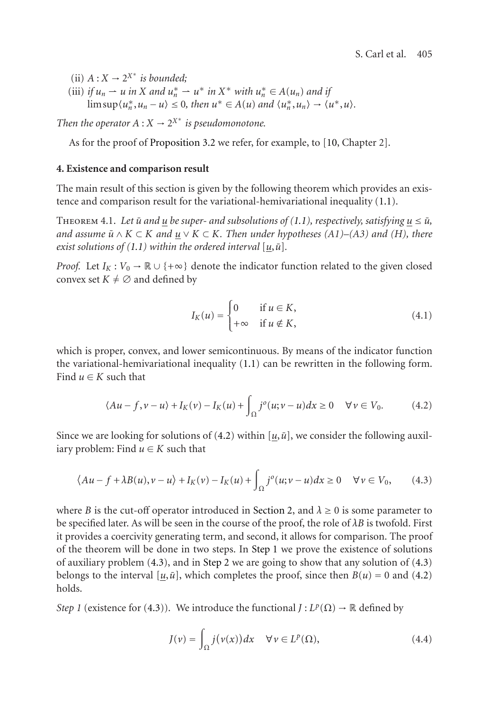(ii)  $A: X \to 2^{X^*}$  *is bounded*;

(iii) *if*  $u_n \rightharpoonup u$  *in*  $X$  *and*  $u_n^* \rightharpoonup u^*$  *in*  $X^*$  *with*  $u_n^* \rightharpoonup A(u_n)$  *and if*  $\limsup \langle u_n^*, u_n - u \rangle \leq 0$ , then  $u^* \in A(u)$  and  $\langle u_n^*, u_n \rangle \to \langle u^*, u \rangle$ .

*Then the operator*  $A: X \to 2^{X^*}$  *is pseudomonotone.* 

As for the proof of [Proposition 3.2](#page-3-0) we refer, for example, to [\[10,](#page-17-7) Chapter 2].

#### **4. Existence and comparison result**

The main result of this section is given by the following theorem which provides an existence and comparison result for the variational-hemivariational inequality [\(1.1\)](#page-1-0).

THEOREM 4.1. Let  $\bar{u}$  and  $u$  be super- and subsolutions of [\(1.1\)](#page-1-0), respectively, satisfying  $u \leq \bar{u}$ , *and assume*  $\bar{u} \wedge K \subset K$  *and*  $\underline{u} \vee K \subset K$ . Then under hypotheses (A1)–(A3) and (H), there *exist solutions of*  $(1.1)$  *within the ordered interval*  $[u, \bar{u}]$ *.* 

*Proof.* Let  $I_K: V_0 \to \mathbb{R} \cup \{+\infty\}$  denote the indicator function related to the given closed convex set  $K \neq \emptyset$  and defined by

<span id="page-5-2"></span><span id="page-5-0"></span>
$$
I_K(u) = \begin{cases} 0 & \text{if } u \in K, \\ +\infty & \text{if } u \notin K, \end{cases}
$$
 (4.1)

which is proper, convex, and lower semicontinuous. By means of the indicator function the variational-hemivariational inequality [\(1.1\)](#page-1-0) can be rewritten in the following form. Find  $u \in K$  such that

$$
\langle Au - f, v - u \rangle + I_K(v) - I_K(u) + \int_{\Omega} j^o(u; v - u) dx \ge 0 \quad \forall v \in V_0.
$$
 (4.2)

Since we are looking for solutions of [\(4.2\)](#page-5-0) within  $[\underline{u}, \overline{u}]$ , we consider the following auxiliary problem: Find  $u \in K$  such that

$$
\langle Au - f + \lambda B(u), v - u \rangle + I_K(v) - I_K(u) + \int_{\Omega} j^o(u; v - u) dx \ge 0 \quad \forall v \in V_0,
$$
 (4.3)

where *B* is the cut-off operator introduced in [Section 2,](#page-2-0) and  $\lambda \ge 0$  is some parameter to be specified later. As will be seen in the course of the proof, the role of *λB* is twofold. First it provides a coercivity generating term, and second, it allows for comparison. The proof of the theorem will be done in two steps. In [Step 1](#page-5-1) we prove the existence of solutions of auxiliary problem [\(4.3\)](#page-5-2), and in [Step 2](#page-7-0) we are going to show that any solution of [\(4.3\)](#page-5-2) belongs to the interval  $[u, \bar{u}]$ , which completes the proof, since then  $B(u) = 0$  and [\(4.2\)](#page-5-0) holds.

<span id="page-5-1"></span>*Step 1* (existence for [\(4.3\)](#page-5-2)). We introduce the functional  $J: L^p(\Omega) \to \mathbb{R}$  defined by

$$
J(v) = \int_{\Omega} j(v(x)) dx \quad \forall v \in L^{p}(\Omega),
$$
\n(4.4)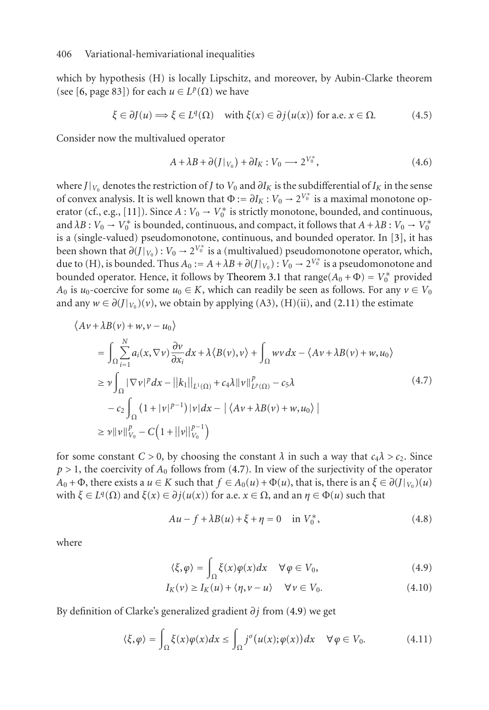which by hypothesis (H) is locally Lipschitz, and moreover, by Aubin-Clarke theorem (see [\[6,](#page-17-0) page 83]) for each  $u \in L^p(\Omega)$  we have

$$
\xi \in \partial J(u) \Longrightarrow \xi \in L^{q}(\Omega) \quad \text{with } \xi(x) \in \partial j(u(x)) \text{ for a.e. } x \in \Omega. \tag{4.5}
$$

Consider now the multivalued operator

$$
A + \lambda B + \partial (J|_{V_0}) + \partial I_K : V_0 \longrightarrow 2^{V_0^*}, \tag{4.6}
$$

where *J*| $V_0$  denotes the restriction of *J* to  $V_0$  and  $\partial I_K$  is the subdifferential of  $I_K$  in the sense of convex analysis. It is well known that  $\Phi := \partial I_K : V_0 \to 2^{V_0^*}$  is a maximal monotone op-erator (cf., e.g., [\[11\]](#page-17-8)). Since  $A: V_0 \to V_0^*$  is strictly monotone, bounded, and continuous, and  $\lambda B: V_0 \to V_0^*$  is bounded, continuous, and compact, it follows that  $A + \lambda B: V_0 \to V_0^*$ is a (single-valued) pseudomonotone, continuous, and bounded operator. In [\[3\]](#page-17-1), it has been shown that  $\partial$ (*J*|*V*<sub>0</sub>) : *V*<sub>0</sub> → 2<sup>*V*<sub>0</sub><sup>\*</sup></sup> is a (multivalued) pseudomonotone operator, which, due to (H), is bounded. Thus  $A_0 := A + \lambda B + \partial(J|_{V_0}) : V_0 \to 2^{V_0^*}$  is a pseudomonotone and bounded operator. Hence, it follows by [Theorem 3.1](#page-3-1) that  $\text{range}(A_0 + \Phi) = V_0^*$  provided *A*<sub>0</sub> is *u*<sub>0</sub>-coercive for some *u*<sub>0</sub> ∈ *K*, which can readily be seen as follows. For any *v* ∈ *V*<sub>0</sub> and any  $w \in \partial(J|_{V_0})(v)$ , we obtain by applying (A3), (H)(ii), and [\(2.11\)](#page-4-1) the estimate

$$
\langle Av + \lambda B(v) + w, v - u_0 \rangle
$$
  
\n
$$
= \int_{\Omega} \sum_{i=1}^{N} a_i(x, \nabla v) \frac{\partial v}{\partial x_i} dx + \lambda \langle B(v), v \rangle + \int_{\Omega} wv dx - \langle Av + \lambda B(v) + w, u_0 \rangle
$$
  
\n
$$
\geq v \int_{\Omega} |\nabla v|^p dx - ||k_1||_{L^1(\Omega)} + c_4 \lambda ||v||_{L^p(\Omega)}^p - c_5 \lambda
$$
  
\n
$$
- c_2 \int_{\Omega} (1 + |v|^{p-1}) |v| dx - |\langle Av + \lambda B(v) + w, u_0 \rangle|
$$
  
\n
$$
\geq v ||v||_{V_0}^p - C \Big( 1 + ||v||_{V_0}^{p-1} \Big)
$$
\n(4.7)

for some constant  $C > 0$ , by choosing the constant  $\lambda$  in such a way that  $c_4\lambda > c_2$ . Since  $p > 1$ , the coercivity of  $A_0$  follows from [\(4.7\)](#page-6-0). In view of the surjectivity of the operator  $A_0 + \Phi$ , there exists a  $u \in K$  such that  $f \in A_0(u) + \Phi(u)$ , that is, there is an  $\xi \in \partial (f|_{V_0})(u)$ with *ξ* ∈ *L*<sup>*q*</sup>( $Ω$ ) and *ξ*(*x*) ∈ *∂j*(*u*(*x*)) for a.e. *x* ∈  $Ω$ , and an *η* ∈ Φ(*u*) such that

<span id="page-6-2"></span><span id="page-6-0"></span>
$$
Au - f + \lambda B(u) + \xi + \eta = 0 \quad \text{in } V_0^*,
$$
 (4.8)

where

<span id="page-6-3"></span><span id="page-6-1"></span>
$$
\langle \xi, \varphi \rangle = \int_{\Omega} \xi(x) \varphi(x) dx \quad \forall \varphi \in V_0,
$$
\n(4.9)

<span id="page-6-4"></span>
$$
I_K(v) \ge I_K(u) + \langle \eta, v - u \rangle \quad \forall v \in V_0.
$$
\n(4.10)

By definition of Clarke's generalized gradient *∂j* from [\(4.9\)](#page-6-1) we get

$$
\langle \xi, \varphi \rangle = \int_{\Omega} \xi(x) \varphi(x) dx \le \int_{\Omega} j^{o}(u(x); \varphi(x)) dx \quad \forall \varphi \in V_0.
$$
 (4.11)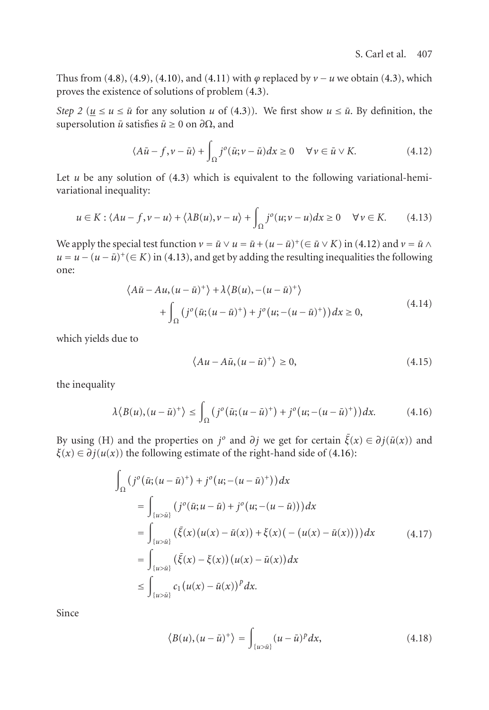Thus from [\(4.8\)](#page-6-2), [\(4.9\)](#page-6-1), [\(4.10\)](#page-6-3), and [\(4.11\)](#page-6-4) with  $\varphi$  replaced by  $\nu$  − *u* we obtain [\(4.3\)](#page-5-2), which proves the existence of solutions of problem [\(4.3\)](#page-5-2).

<span id="page-7-0"></span>*Step 2* ( $u \le u \le \bar{u}$  for any solution *u* of [\(4.3\)](#page-5-2)). We first show  $u \le \bar{u}$ . By definition, the supersolution  $\bar{u}$  satisfies  $\bar{u} \ge 0$  on  $\partial\Omega$ , and

<span id="page-7-2"></span><span id="page-7-1"></span>
$$
\langle A\bar{u} - f, v - \bar{u} \rangle + \int_{\Omega} j^{o}(\bar{u}; v - \bar{u}) dx \ge 0 \quad \forall v \in \bar{u} \vee K.
$$
 (4.12)

Let  $u$  be any solution of  $(4.3)$  which is equivalent to the following variational-hemivariational inequality:

$$
u \in K : \langle Au - f, v - u \rangle + \langle \lambda B(u), v - u \rangle + \int_{\Omega} j^{o}(u; v - u) dx \ge 0 \quad \forall v \in K. \tag{4.13}
$$

We apply the special test function  $v = \bar{u} \vee u = \bar{u} + (u - \bar{u})^+ (\in \bar{u} \vee K)$  in [\(4.12\)](#page-7-1) and  $v = \bar{u} \wedge u$  $u = u - (u - \bar{u})^+(\in K)$  in [\(4.13\)](#page-7-2), and get by adding the resulting inequalities the following one:

$$
\langle A\overline{u} - Au, (u - \overline{u})^{+} \rangle + \lambda \langle B(u), -(u - \overline{u})^{+} \rangle
$$
  
+ 
$$
\int_{\Omega} (j^{o}(\overline{u}; (u - \overline{u})^{+}) + j^{o}(u; -(u - \overline{u})^{+})) dx \ge 0,
$$
 (4.14)

which yields due to

<span id="page-7-3"></span>
$$
\langle Au - A\bar{u}, (u - \bar{u})^+ \rangle \ge 0,
$$
\n(4.15)

the inequality

$$
\lambda \langle B(u), (u-\bar{u})^+ \rangle \le \int_{\Omega} \left( j^o(\bar{u}; (u-\bar{u})^+) + j^o(u; -(u-\bar{u})^+) \right) dx.
$$
 (4.16)

By using (H) and the properties on *j*<sup>*o*</sup> and *∂j* we get for certain  $\bar{\xi}(x) \in \partial j(\bar{u}(x))$  and  $\xi(x) \in \partial j(u(x))$  the following estimate of the right-hand side of [\(4.16\)](#page-7-3):

$$
\int_{\Omega} (j^{o}(\bar{u}; (u - \bar{u})^{+}) + j^{o}(u; -(u - \bar{u})^{+})) dx
$$
\n
$$
= \int_{\{u > \bar{u}\}} (j^{o}(\bar{u}; u - \bar{u}) + j^{o}(u; -(u - \bar{u}))) dx
$$
\n
$$
= \int_{\{u > \bar{u}\}} (\bar{\xi}(x)(u(x) - \bar{u}(x)) + \xi(x)(-(u(x) - \bar{u}(x)))) dx
$$
\n
$$
= \int_{\{u > \bar{u}\}} (\bar{\xi}(x) - \xi(x)) (u(x) - \bar{u}(x)) dx
$$
\n
$$
\leq \int_{\{u > \bar{u}\}} c_{1} (u(x) - \bar{u}(x))^{p} dx.
$$
\n(4.17)

Since

<span id="page-7-4"></span>
$$
\langle B(u), (u-\bar{u})^+ \rangle = \int_{\{u>\bar{u}\}} (u-\bar{u})^p dx, \tag{4.18}
$$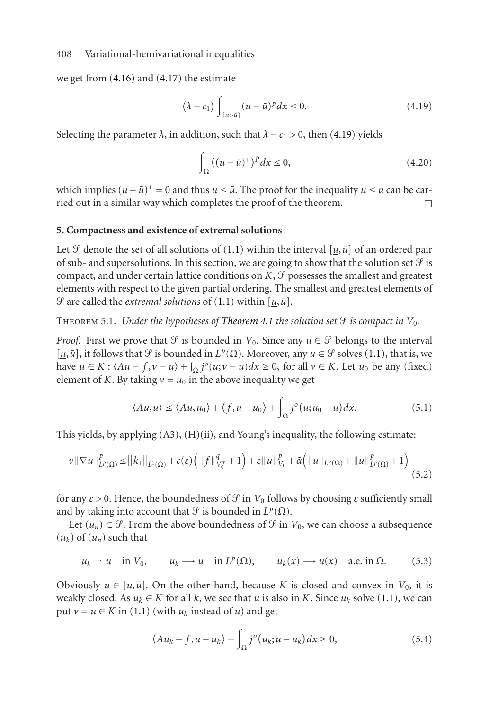we get from [\(4.16\)](#page-7-3) and [\(4.17\)](#page-7-4) the estimate

<span id="page-8-0"></span>
$$
(\lambda - c_1) \int_{\{u > \bar{u}\}} (u - \bar{u})^p dx \le 0. \tag{4.19}
$$

Selecting the parameter  $\lambda$ , in addition, such that  $\lambda - c_1 > 0$ , then [\(4.19\)](#page-8-0) yields

$$
\int_{\Omega} \left( (u - \bar{u})^+ \right)^p dx \le 0, \tag{4.20}
$$

which implies  $(u - \bar{u})^+ = 0$  and thus  $u \leq \bar{u}$ . The proof for the inequality  $u \leq u$  can be carried out in a similar way which completes the proof of the theorem.

#### <span id="page-8-2"></span>**5. Compactness and existence of extremal solutions**

Let *S* denote the set of all solutions of [\(1.1\)](#page-1-0) within the interval [ $u$ , $\bar{u}$ ] of an ordered pair of sub- and supersolutions. In this section, we are going to show that the solution set  $\mathcal G$  is compact, and under certain lattice conditions on  $K, \mathcal{G}$  possesses the smallest and greatest elements with respect to the given partial ordering. The smallest and greatest elements of  $\mathcal{G}$  are called the *extremal solutions* of [\(1.1\)](#page-1-0) within [ $u$ , $\bar{u}$ ].

THEOREM 5.1. *Under the hypotheses of [Theorem 4.1](#page-3-1) the solution set*  $\mathcal{G}$  *is compact in*  $V_0$ *.* 

*Proof.* First we prove that *S* is bounded in  $V_0$ . Since any  $u \in S$  belongs to the interval [ $u$ , $\bar{u}$ ], it follows that  $\mathcal{G}$  is bounded in  $L^p(\Omega)$ . Moreover, any  $u \in \mathcal{G}$  solves [\(1.1\)](#page-1-0), that is, we have *u* ∈ *K* :  $\langle Au - f, v - u \rangle + \int_{\Omega} j^o(u; v - u) dx \ge 0$ , for all *v* ∈ *K*. Let *u*<sub>0</sub> be any (fixed) element of *K*. By taking  $v = u_0$  in the above inequality we get

$$
\langle Au, u \rangle \le \langle Au, u_0 \rangle + \langle f, u - u_0 \rangle + \int_{\Omega} j^o(u; u_0 - u) dx.
$$
 (5.1)

This yields, by applying  $(A3)$ ,  $(H)(ii)$ , and Young's inequality, the following estimate:

$$
\nu \|\nabla u\|_{L^{p}(\Omega)}^{p} \leq ||k_{1}||_{L^{1}(\Omega)} + c(\varepsilon) \left( ||f||_{V_{0}^{*}}^{q} + 1 \right) + \varepsilon ||u||_{V_{0}}^{p} + \tilde{\alpha} \left( ||u||_{L^{p}(\Omega)} + ||u||_{L^{p}(\Omega)}^{p} + 1 \right) \tag{5.2}
$$

for any  $\varepsilon > 0$ . Hence, the boundedness of  $\mathcal G$  in  $V_0$  follows by choosing  $\varepsilon$  sufficiently small and by taking into account that *S* is bounded in  $L^p(\Omega)$ .

Let  $(u_n) \subset \mathcal{G}$ . From the above boundedness of  $\mathcal{G}$  in  $V_0$ , we can choose a subsequence  $(u_k)$  of  $(u_n)$  such that

$$
u_k \rightharpoonup u
$$
 in  $V_0$ ,  $u_k \rightharpoonup u$  in  $L^p(\Omega)$ ,  $u_k(x) \rightharpoonup u(x)$  a.e. in  $\Omega$ . (5.3)

Obviously  $u \in [u, \bar{u}]$ . On the other hand, because *K* is closed and convex in  $V_0$ , it is weakly closed. As  $u_k \in K$  for all k, we see that *u* is also in K. Since  $u_k$  solve [\(1.1\)](#page-1-0), we can put  $v = u \in K$  in [\(1.1\)](#page-1-0) (with  $u_k$  instead of *u*) and get

<span id="page-8-1"></span>
$$
\langle Au_k - f, u - u_k \rangle + \int_{\Omega} j^o(u_k; u - u_k) dx \ge 0,
$$
\n(5.4)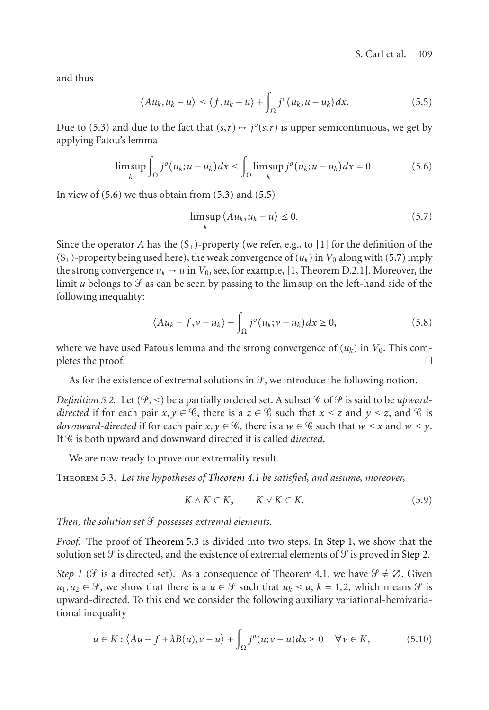and thus

<span id="page-9-1"></span>
$$
\langle Au_k, u_k - u \rangle \le \langle f, u_k - u \rangle + \int_{\Omega} j^o(u_k; u - u_k) dx.
$$
 (5.5)

Due to [\(5.3\)](#page-8-1) and due to the fact that  $(s,r) \mapsto j^o(s;r)$  is upper semicontinuous, we get by applying Fatou's lemma

$$
\limsup_{k} \int_{\Omega} j^{o}(u_{k}; u - u_{k}) dx \leq \int_{\Omega} \limsup_{k} j^{o}(u_{k}; u - u_{k}) dx = 0.
$$
 (5.6)

In view of  $(5.6)$  we thus obtain from  $(5.3)$  and  $(5.5)$ 

<span id="page-9-2"></span><span id="page-9-0"></span>
$$
\limsup_{k} \langle Au_k, u_k - u \rangle \le 0. \tag{5.7}
$$

Since the operator *A* has the  $(S_+)$ -property (we refer, e.g., to [\[1\]](#page-17-9) for the definition of the  $(S_{+})$ -property being used here), the weak convergence of  $(u_k)$  in  $V_0$  along with [\(5.7\)](#page-9-2) imply the strong convergence  $u_k \rightarrow u$  in  $V_0$ , see, for example, [\[1,](#page-17-9) Theorem D.2.1]. Moreover, the limit *u* belongs to  $\mathcal G$  as can be seen by passing to the lim sup on the left-hand side of the following inequality:

$$
\langle Au_k - f, v - u_k \rangle + \int_{\Omega} j^o(u_k; v - u_k) dx \ge 0,
$$
\n(5.8)

where we have used Fatou's lemma and the strong convergence of  $(u_k)$  in  $V_0$ . This completes the proof.  $\Box$ 

As for the existence of extremal solutions in  $\mathcal{S}$ , we introduce the following notion.

*Definition 5.2.* Let  $(\mathcal{P}, \leq)$  be a partially ordered set. A subset  $\mathcal C$  of  $\mathcal P$  is said to be upward*directed* if for each pair  $x, y \in \mathcal{C}$ , there is a  $z \in \mathcal{C}$  such that  $x \leq z$  and  $y \leq z$ , and  $\mathcal{C}$  is *downward-directed* if for each pair *x*,  $y \in \mathcal{C}$ , there is a  $w \in \mathcal{C}$  such that  $w \leq x$  and  $w \leq y$ . If  $\mathscr C$  is both upward and downward directed it is called *directed*.

We are now ready to prove our extremality result.

<span id="page-9-3"></span>Theorem 5.3. *Let the hypotheses of [Theorem 4.1](#page-3-1) be satisfied, and assume, moreover,*

<span id="page-9-5"></span><span id="page-9-4"></span>
$$
K \wedge K \subset K, \qquad K \vee K \subset K. \tag{5.9}
$$

*Then, the solution set possesses extremal elements.*

*Proof.* The proof of [Theorem 5.3](#page-9-3) is divided into two steps. In [Step 1,](#page-5-1) we show that the solution set  $\mathcal G$  is directed, and the existence of extremal elements of  $\mathcal G$  is proved in [Step 2.](#page-7-0)

*Step 1* ( $\mathcal{F}$  is a directed set). As a consequence of [Theorem 4.1,](#page-3-1) we have  $\mathcal{F} \neq \emptyset$ . Given  $u_1, u_2 \in \mathcal{G}$ , we show that there is a  $u \in \mathcal{G}$  such that  $u_k \le u$ ,  $k = 1, 2$ , which means  $\mathcal{G}$  is upward-directed. To this end we consider the following auxiliary variational-hemivariational inequality

$$
u \in K : \langle Au - f + \lambda B(u), v - u \rangle + \int_{\Omega} j^{o}(u; v - u) dx \ge 0 \quad \forall v \in K,
$$
 (5.10)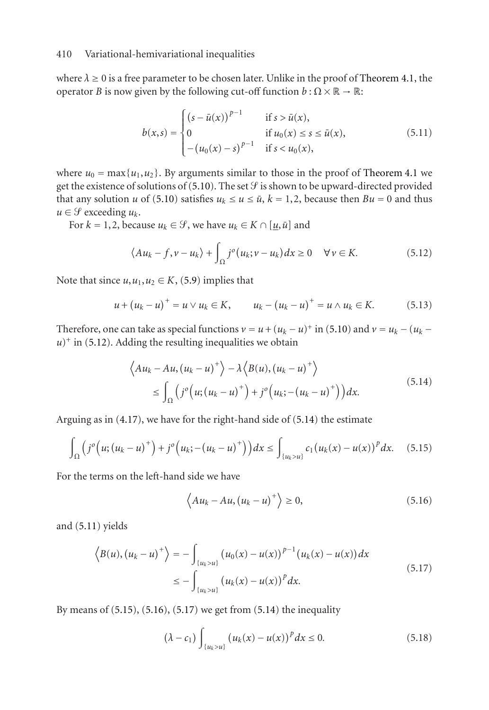where  $\lambda \geq 0$  is a free parameter to be chosen later. Unlike in the proof of [Theorem 4.1,](#page-3-1) the operator *B* is now given by the following cut-off function  $b : \Omega \times \mathbb{R} \to \mathbb{R}$ :

<span id="page-10-2"></span>
$$
b(x,s) = \begin{cases} (s - \bar{u}(x))^{p-1} & \text{if } s > \bar{u}(x), \\ 0 & \text{if } u_0(x) \le s \le \bar{u}(x), \\ - (u_0(x) - s)^{p-1} & \text{if } s < u_0(x), \end{cases}
$$
(5.11)

where  $u_0 = \max\{u_1, u_2\}$ . By arguments similar to those in the proof of [Theorem 4.1](#page-3-1) we get the existence of solutions of [\(5.10\)](#page-9-4). The set  $\mathcal G$  is shown to be upward-directed provided that any solution *u* of [\(5.10\)](#page-9-4) satisfies  $u_k \le u \le \bar{u}$ ,  $k = 1, 2$ , because then  $Bu = 0$  and thus  $u \in \mathcal{G}$  exceeding  $u_k$ .

For  $k = 1, 2$ , because  $u_k \in \mathcal{G}$ , we have  $u_k \in K \cap [\underline{u}, \overline{u}]$  and

<span id="page-10-0"></span>
$$
\langle Au_k - f, v - u_k \rangle + \int_{\Omega} j^o(u_k; v - u_k) dx \ge 0 \quad \forall v \in K. \tag{5.12}
$$

Note that since  $u, u_1, u_2 \in K$ , [\(5.9\)](#page-9-5) implies that

$$
u + (u_k - u)^+ = u \vee u_k \in K, \qquad u_k - (u_k - u)^+ = u \wedge u_k \in K. \tag{5.13}
$$

Therefore, one can take as special functions  $v = u + (u_k - u)^+$  in [\(5.10\)](#page-9-4) and  $v = u_k - (u_k - u)^+$  $u$ <sup>+</sup> in [\(5.12\)](#page-10-0). Adding the resulting inequalities we obtain

$$
\langle Au_k - Au, (u_k - u)^+ \rangle - \lambda \langle B(u), (u_k - u)^+ \rangle
$$
  
\n
$$
\leq \int_{\Omega} \left( j^o \left( u; (u_k - u)^+ \right) + j^o \left( u_k; -(u_k - u)^+ \right) \right) dx.
$$
\n(5.14)

Arguing as in [\(4.17\)](#page-7-4), we have for the right-hand side of [\(5.14\)](#page-10-1) the estimate

$$
\int_{\Omega} (j^{o}(u; (u_{k} - u)^{+}) + j^{o}(u_{k}; -(u_{k} - u)^{+})) dx \leq \int_{\{u_{k} > u\}} c_{1}(u_{k}(x) - u(x))^{p} dx. \quad (5.15)
$$

For the terms on the left-hand side we have

<span id="page-10-5"></span><span id="page-10-4"></span><span id="page-10-3"></span><span id="page-10-1"></span>
$$
\left\langle Au_{k} - Au, (u_{k} - u)^{+}\right\rangle \geq 0, \tag{5.16}
$$

and [\(5.11\)](#page-10-2) yields

$$
\langle B(u), (u_k - u)^+ \rangle = - \int_{\{u_k > u\}} (u_0(x) - u(x))^{p-1} (u_k(x) - u(x)) dx
$$
  

$$
\leq - \int_{\{u_k > u\}} (u_k(x) - u(x))^p dx.
$$
 (5.17)

By means of [\(5.15\)](#page-10-3), [\(5.16\)](#page-10-4), [\(5.17\)](#page-10-5) we get from [\(5.14\)](#page-10-1) the inequality

<span id="page-10-6"></span>
$$
(\lambda - c_1) \int_{\{u_k > u\}} \left( u_k(x) - u(x) \right)^p dx \le 0.
$$
 (5.18)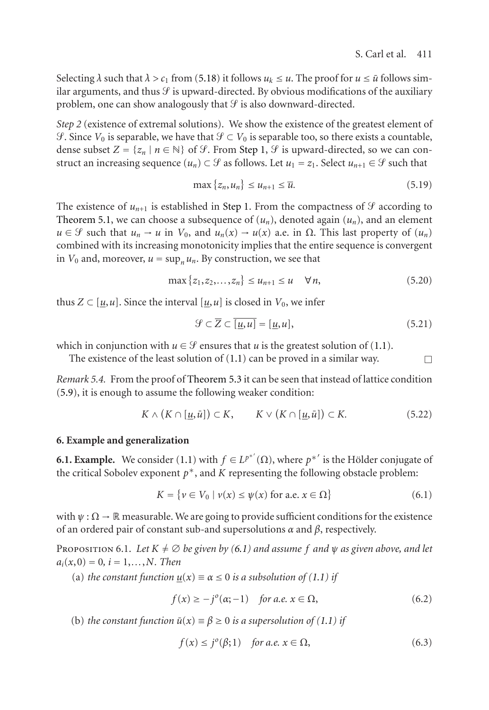Selecting  $\lambda$  such that  $\lambda > c_1$  from [\(5.18\)](#page-10-6) it follows  $u_k \le u$ . The proof for  $u \le \bar{u}$  follows similar arguments, and thus  $\mathcal G$  is upward-directed. By obvious modifications of the auxiliary problem, one can show analogously that  $\mathcal G$  is also downward-directed.

*Step 2* (existence of extremal solutions). We show the existence of the greatest element of  $\mathcal{F}$ . Since  $V_0$  is separable, we have that  $\mathcal{F} \subset V_0$  is separable too, so there exists a countable, dense subset  $Z = \{z_n \mid n \in \mathbb{N}\}\$  of  $\mathcal{G}$ . From [Step 1,](#page-5-1)  $\mathcal{G}$  is upward-directed, so we can construct an increasing sequence  $(u_n) \subset \mathcal{G}$  as follows. Let  $u_1 = z_1$ . Select  $u_{n+1} \in \mathcal{G}$  such that

$$
\max\left\{z_n, u_n\right\} \le u_{n+1} \le \overline{u}.\tag{5.19}
$$

The existence of  $u_{n+1}$  is established in [Step 1.](#page-5-1) From the compactness of  $\mathcal G$  according to [Theorem 5.1,](#page-3-1) we can choose a subsequence of  $(u_n)$ , denoted again  $(u_n)$ , and an element  $u \in \mathcal{G}$  such that  $u_n \to u$  in  $V_0$ , and  $u_n(x) \to u(x)$  a.e. in  $\Omega$ . This last property of  $(u_n)$ combined with its increasing monotonicity implies that the entire sequence is convergent in  $V_0$  and, moreover,  $u = \sup_n u_n$ . By construction, we see that

$$
\max\{z_1, z_2, \dots, z_n\} \le u_{n+1} \le u \quad \forall n,
$$
\n(5.20)

thus  $Z \subset [u, u]$ . Since the interval  $[u, u]$  is closed in  $V_0$ , we infer

$$
\mathcal{G} \subset \overline{Z} \subset \overline{[\underline{u}, u]} = [\underline{u}, u],\tag{5.21}
$$

which in conjunction with  $u \in \mathcal{G}$  ensures that *u* is the greatest solution of [\(1.1\)](#page-1-0).

The existence of the least solution of  $(1.1)$  can be proved in a similar way.

*Remark 5.4.* From the proof of [Theorem 5.3](#page-9-3) it can be seen that instead of lattice condition [\(5.9\)](#page-9-5), it is enough to assume the following weaker condition:

$$
K \wedge (K \cap [\underline{u}, \bar{u}]) \subset K, \qquad K \vee (K \cap [\underline{u}, \bar{u}]) \subset K. \tag{5.22}
$$

#### **6. Example and generalization**

**6.1. Example.** We consider [\(1.1\)](#page-1-0) with  $f \in L^{p^{*'}}(\Omega)$ , where  $p^{*'}$  is the Hölder conjugate of the critical Sobolev exponent  $p^*$ , and  $K$  representing the following obstacle problem:

<span id="page-11-0"></span>
$$
K = \{ v \in V_0 \mid v(x) \le \psi(x) \text{ for a.e. } x \in \Omega \}
$$
 (6.1)

with  $\psi$ :  $\Omega \to \mathbb{R}$  measurable. We are going to provide sufficient conditions for the existence of an ordered pair of constant sub-and supersolutions *α* and *β*, respectively.

PROPOSITION 6.1. Let  $K \neq \emptyset$  be given by [\(6.1\)](#page-11-0) and assume f and  $\psi$  as given above, and let  $a_i(x,0) = 0, i = 1,...,N$ *. Then* 

(a) *the constant function*  $u(x) \equiv \alpha \leq 0$  *is a subsolution of* [\(1.1\)](#page-1-0) *if* 

<span id="page-11-1"></span>
$$
f(x) \ge -j^{o}(\alpha; -1) \quad \text{for a.e. } x \in \Omega,
$$
\n(6.2)

(b) *the constant function*  $\bar{u}(x) \equiv \beta \ge 0$  *is a supersolution of* [\(1.1\)](#page-1-0) *if* 

<span id="page-11-2"></span>
$$
f(x) \le j^o(\beta; 1) \quad \text{for a.e. } x \in \Omega,\tag{6.3}
$$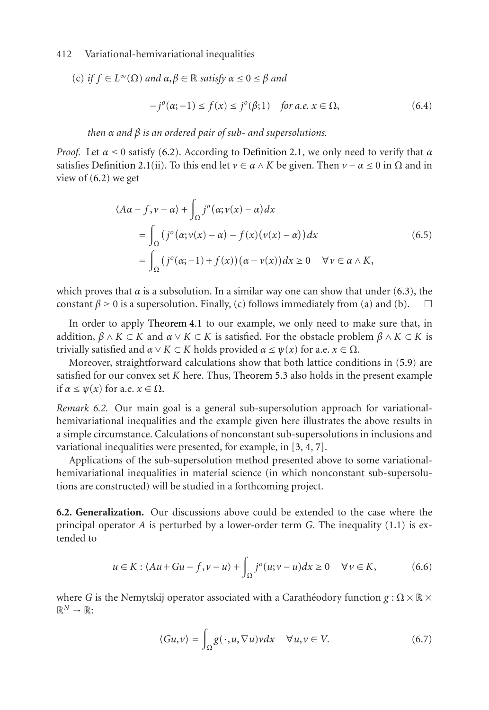(c) if 
$$
f \in L^{\infty}(\Omega)
$$
 and  $\alpha, \beta \in \mathbb{R}$  satisfy  $\alpha \le 0 \le \beta$  and  

$$
-j^{o}(\alpha; -1) \le f(x) \le j^{o}(\beta; 1) \text{ for a.e. } x \in \Omega,
$$
 (6.4)

*then α and β is an ordered pair of sub- and supersolutions.*

*Proof.* Let *α* ≤ 0 satisfy [\(6.2\)](#page-11-1). According to [Definition 2.1,](#page-3-1) we only need to verify that *α* satisfies [Definition 2.1\(](#page-3-1)ii). To this end let  $\nu \in \alpha \wedge K$  be given. Then  $\nu - \alpha \leq 0$  in  $\Omega$  and in view of  $(6.2)$  we get

$$
\langle A\alpha - f, \nu - \alpha \rangle + \int_{\Omega} j^{\circ} (\alpha; \nu(x) - \alpha) dx
$$
  
= 
$$
\int_{\Omega} (j^{\circ} (\alpha; \nu(x) - \alpha) - f(x) (\nu(x) - \alpha)) dx
$$
  
= 
$$
\int_{\Omega} (j^{\circ} (\alpha; -1) + f(x)) (\alpha - \nu(x)) dx \ge 0 \quad \forall \nu \in \alpha \wedge K,
$$
 (6.5)

which proves that  $\alpha$  is a subsolution. In a similar way one can show that under [\(6.3\)](#page-11-2), the constant  $\beta \ge 0$  is a supersolution. Finally, (c) follows immediately from (a) and (b).  $\square$ 

In order to apply [Theorem 4.1](#page-3-1) to our example, we only need to make sure that, in addition,  $\beta \wedge K \subset K$  and  $\alpha \vee K \subset K$  is satisfied. For the obstacle problem  $\beta \wedge K \subset K$  is trivially satisfied and  $\alpha \vee K \subset K$  holds provided  $\alpha \leq \psi(x)$  for a.e.  $x \in \Omega$ .

Moreover, straightforward calculations show that both lattice conditions in [\(5.9\)](#page-9-5) are satisfied for our convex set *K* here. Thus, [Theorem 5.3](#page-9-3) also holds in the present example if *α* ≤ *ψ*(*x*) for a.e. *x* ∈ Ω.

*Remark 6.2.* Our main goal is a general sub-supersolution approach for variationalhemivariational inequalities and the example given here illustrates the above results in a simple circumstance. Calculations of nonconstant sub-supersolutions in inclusions and variational inequalities were presented, for example, in [\[3,](#page-17-1) [4,](#page-17-5) [7\]](#page-17-10).

Applications of the sub-supersolution method presented above to some variationalhemivariational inequalities in material science (in which nonconstant sub-supersolutions are constructed) will be studied in a forthcoming project.

**6.2. Generalization.** Our discussions above could be extended to the case where the principal operator *A* is perturbed by a lower-order term *G*. The inequality [\(1.1\)](#page-1-0) is extended to

$$
u \in K : \langle Au + Gu - f, v - u \rangle + \int_{\Omega} j^{o}(u; v - u) dx \ge 0 \quad \forall v \in K,
$$
 (6.6)

where *G* is the Nemytskij operator associated with a Caratheodory function  $g : \Omega \times \mathbb{R} \times$  $\mathbb{R}^N \to \mathbb{R}$ :

<span id="page-12-1"></span><span id="page-12-0"></span>
$$
\langle Gu, v \rangle = \int_{\Omega} g(\cdot, u, \nabla u) v dx \quad \forall u, v \in V. \tag{6.7}
$$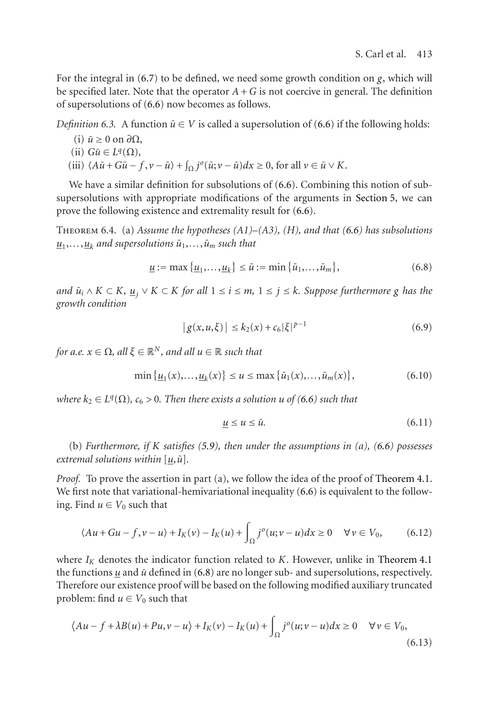For the integral in [\(6.7\)](#page-12-0) to be defined, we need some growth condition on *g*, which will be specified later. Note that the operator  $A + G$  is not coercive in general. The definition of supersolutions of [\(6.6\)](#page-12-1) now becomes as follows.

*Definition 6.3.* A function  $\bar{u} \in V$  is called a supersolution of [\(6.6\)](#page-12-1) if the following holds:

- $(i)$   $\bar{u} ≥ 0$  on  $\partial Ω$ ,
- $(iii)$  *Gu* $\in$  *L*<sup>q</sup>( $\Omega$ ),
- (iii)  $\langle A\overline{u} + G\overline{u} f, v \overline{u} \rangle + \int_{\Omega} j^{o}(\overline{u}; v \overline{u}) dx \ge 0$ , for all  $v \in \overline{u} \vee K$ .

We have a similar definition for subsolutions of [\(6.6\)](#page-12-1). Combining this notion of subsupersolutions with appropriate modifications of the arguments in [Section 5,](#page-8-2) we can prove the following existence and extremality result for [\(6.6\)](#page-12-1).

Theorem 6.4. (a) *Assume the hypotheses (A1)–(A3), (H), and that [\(6.6\)](#page-12-1) has subsolutions*  $u_1, \ldots, u_k$  *and supersolutions*  $\bar{u}_1, \ldots, \bar{u}_m$  *such that* 

$$
\underline{u} := \max\{\underline{u}_1, \dots, \underline{u}_k\} \le \bar{u} := \min\{\bar{u}_1, \dots, \bar{u}_m\},\tag{6.8}
$$

*and*  $\bar{u}_i \wedge K \subset K$ ,  $\underline{u}_j \vee K \subset K$  *for all*  $1 \le i \le m$ ,  $1 \le j \le k$ *. Suppose furthermore g has the growth condition*

<span id="page-13-0"></span>
$$
|g(x, u, \xi)| \le k_2(x) + c_6 |\xi|^{p-1}
$$
 (6.9)

*for a.e.*  $x \in \Omega$ *, all*  $\xi \in \mathbb{R}^N$ *, and all*  $u \in \mathbb{R}$  *such that* 

$$
\min\{\underline{u}_1(x),\ldots,\underline{u}_k(x)\} \le u \le \max\{\bar{u}_1(x),\ldots,\bar{u}_m(x)\},\tag{6.10}
$$

*where*  $k_2 \in L^q(\Omega)$ ,  $c_6 > 0$ . Then there exists a solution *u* of [\(6.6\)](#page-12-1) such that

<span id="page-13-2"></span><span id="page-13-1"></span>
$$
\underline{u} \le u \le \bar{u}.\tag{6.11}
$$

(b) *Furthermore, if K satisfies [\(5.9\)](#page-9-5), then under the assumptions in (a), [\(6.6\)](#page-12-1) possesses extremal solutions within*  $[u, \bar{u}]$ *.* 

*Proof.* To prove the assertion in part (a), we follow the idea of the proof of [Theorem 4.1.](#page-3-1) We first note that variational-hemivariational inequality [\(6.6\)](#page-12-1) is equivalent to the following. Find  $u \in V_0$  such that

$$
\langle Au + Gu - f, v - u \rangle + I_K(v) - I_K(u) + \int_{\Omega} j^o(u; v - u) dx \ge 0 \quad \forall v \in V_0,
$$
 (6.12)

where  $I_K$  denotes the indicator function related to  $K$ . However, unlike in [Theorem 4.1](#page-3-1) the functions  $\mu$  and  $\bar{u}$  defined in [\(6.8\)](#page-13-0) are no longer sub- and supersolutions, respectively. Therefore our existence proof will be based on the following modified auxiliary truncated problem: find  $u \in V_0$  such that

$$
\langle Au - f + \lambda B(u) + Pu, v - u \rangle + I_K(v) - I_K(u) + \int_{\Omega} j^o(u; v - u) dx \ge 0 \quad \forall v \in V_0,
$$
\n(6.13)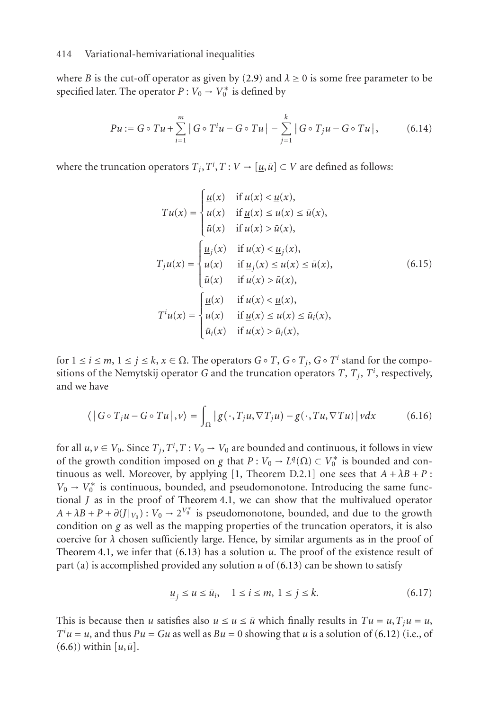where *B* is the cut-off operator as given by [\(2.9\)](#page-4-2) and  $\lambda \ge 0$  is some free parameter to be specified later. The operator  $P: V_0 \to V_0^*$  is defined by

$$
Pu := G \circ Tu + \sum_{i=1}^{m} |G \circ T^{i}u - G \circ Tu| - \sum_{j=1}^{k} |G \circ T_{j}u - G \circ Tu|, \qquad (6.14)
$$

where the truncation operators  $T_j, T^i, T: V \to [\underline{u}, \overline{u}] \subset V$  are defined as follows:

$$
Tu(x) = \begin{cases} \frac{u(x)}{u(x)} & \text{if } u(x) < \underline{u}(x), \\ u(x) & \text{if } \underline{u}(x) \le u(x) \le \bar{u}(x), \\ \bar{u}(x) & \text{if } u(x) > \bar{u}(x), \end{cases}
$$
\n
$$
T_j u(x) = \begin{cases} \frac{u_j(x)}{u(x)} & \text{if } u(x) < \underline{u}_j(x), \\ u(x) & \text{if } \underline{u}_j(x) \le u(x) \le \bar{u}(x), \\ \bar{u}(x) & \text{if } u(x) > \bar{u}(x), \end{cases} \tag{6.15}
$$
\n
$$
T^i u(x) = \begin{cases} \frac{u(x)}{u(x)} & \text{if } u(x) < \underline{u}(x), \\ u(x) & \text{if } \underline{u}(x) \le u(x) \le \bar{u}_i(x), \\ \bar{u}_i(x) & \text{if } u(x) > \bar{u}_i(x), \end{cases}
$$

for 1 <sup>≤</sup> *i* <sup>≤</sup> *m*, 1 <sup>≤</sup> *j* <sup>≤</sup> *k*, *x* <sup>∈</sup> Ω. The operators *G*◦ *T*, *G*◦ *Tj*, *G*◦ *T<sup>i</sup>* stand for the compositions of the Nemytskij operator  $G$  and the truncation operators  $T, T_j, T^i$ , respectively, and we have

$$
\langle |G \circ T_j u - G \circ Tu|, v \rangle = \int_{\Omega} |g(\cdot, T_j u, \nabla T_j u) - g(\cdot, Tu, \nabla Tu)| v dx \tag{6.16}
$$

for all  $u, v \in V_0$ . Since  $T_j, T^i, T: V_0 \to V_0$  are bounded and continuous, it follows in view of the growth condition imposed on *g* that  $P: V_0 \to L^q(\Omega) \subset V_0^*$  is bounded and con-tinuous as well. Moreover, by applying [\[1,](#page-17-9) Theorem D.2.1] one sees that  $A + \lambda B + P$ :  $V_0 \rightarrow V_0^*$  is continuous, bounded, and pseudomonotone. Introducing the same functional *J* as in the proof of [Theorem 4.1,](#page-3-1) we can show that the multivalued operator  $A + \lambda B + P + \partial (J|_{V_0})$ :  $V_0 \rightarrow 2^{V_0^*}$  is pseudomonotone, bounded, and due to the growth condition on *g* as well as the mapping properties of the truncation operators, it is also coercive for  $\lambda$  chosen sufficiently large. Hence, by similar arguments as in the proof of [Theorem 4.1,](#page-3-1) we infer that [\(6.13\)](#page-13-1) has a solution *u*. The proof of the existence result of part (a) is accomplished provided any solution *u* of [\(6.13\)](#page-13-1) can be shown to satisfy

$$
\underline{u}_j \le u \le \bar{u}_i, \quad 1 \le i \le m, \ 1 \le j \le k. \tag{6.17}
$$

This is because then *u* satisfies also  $u \le u \le \bar{u}$  which finally results in  $Tu = u, T_i u = u$ ,  $T^i u = u$ , and thus  $Pu = Gu$  as well as  $Bu = 0$  showing that *u* is a solution of [\(6.12\)](#page-13-2) (i.e., of  $(6.6)$ ) within  $[u,\bar{u}]$ .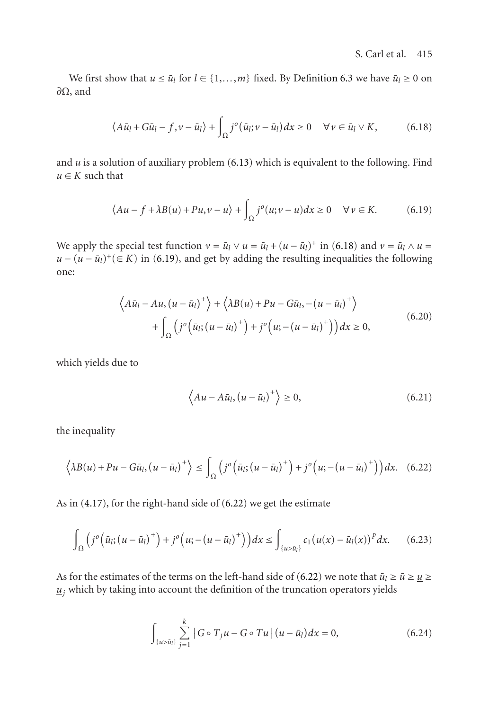We first show that  $u \le \bar{u}_l$  for  $l \in \{1, ..., m\}$  fixed. By [Definition 6.3](#page-9-3) we have  $\bar{u}_l \ge 0$  on *∂*Ω, and

<span id="page-15-0"></span>
$$
\langle A\bar{u}_l + G\bar{u}_l - f, \nu - \bar{u}_l \rangle + \int_{\Omega} j^o(\bar{u}_l; \nu - \bar{u}_l) dx \ge 0 \quad \forall \nu \in \bar{u}_l \vee K,
$$
 (6.18)

and  $u$  is a solution of auxiliary problem  $(6.13)$  which is equivalent to the following. Find  $u \in K$  such that

<span id="page-15-1"></span>
$$
\langle Au - f + \lambda B(u) + Pu, v - u \rangle + \int_{\Omega} j^{o}(u; v - u) dx \ge 0 \quad \forall v \in K. \tag{6.19}
$$

We apply the special test function  $v = \bar{u}_l \vee u = \bar{u}_l + (u - \bar{u}_l)^+$  in [\(6.18\)](#page-15-0) and  $v = \bar{u}_l \wedge u =$  $u - (u - \bar{u}_l)^+(\in K)$  in [\(6.19\)](#page-15-1), and get by adding the resulting inequalities the following one:

$$
\left\langle A\bar{u}_l - Au, (u - \bar{u}_l)^+ \right\rangle + \left\langle \lambda B(u) + Pu - G\bar{u}_l, -(u - \bar{u}_l)^+ \right\rangle + \int_{\Omega} \left( j^o \left( \bar{u}_l; (u - \bar{u}_l)^+ \right) + j^o \left( u; -(u - \bar{u}_l)^+ \right) \right) dx \ge 0,
$$
\n(6.20)

which yields due to

<span id="page-15-3"></span><span id="page-15-2"></span>
$$
\left\langle Au - A\bar{u}_l, \left(u - \bar{u}_l\right)^+\right\rangle \ge 0,\tag{6.21}
$$

the inequality

$$
\left\langle \lambda B(u) + Pu - G\bar{u}_l, \left(u - \bar{u}_l\right)^+ \right\rangle \le \int_{\Omega} \left( j^o \left( \bar{u}_l; \left(u - \bar{u}_l\right)^+ \right) + j^o \left(u; - \left(u - \bar{u}_l\right)^+ \right) \right) dx. \tag{6.22}
$$

As in [\(4.17\)](#page-7-4), for the right-hand side of [\(6.22\)](#page-15-2) we get the estimate

$$
\int_{\Omega} \left( j^{o} \left( \bar{u}_{l} ; \left( u - \bar{u}_{l} \right)^{+} \right) + j^{o} \left( u ; - \left( u - \bar{u}_{l} \right)^{+} \right) \right) dx \leq \int_{\{u > \bar{u}_{l}\}} c_{1} \left( u(x) - \bar{u}_{l}(x) \right)^{p} dx. \tag{6.23}
$$

As for the estimates of the terms on the left-hand side of [\(6.22\)](#page-15-2) we note that  $\bar{u}_l \geq \bar{u} \geq \underline{u} \geq$  $u<sub>j</sub>$  which by taking into account the definition of the truncation operators yields</u>

$$
\int_{\{u > \bar{u}_l\}} \sum_{j=1}^k |G \circ T_j u - G \circ Tu| \left( u - \bar{u}_l \right) dx = 0, \tag{6.24}
$$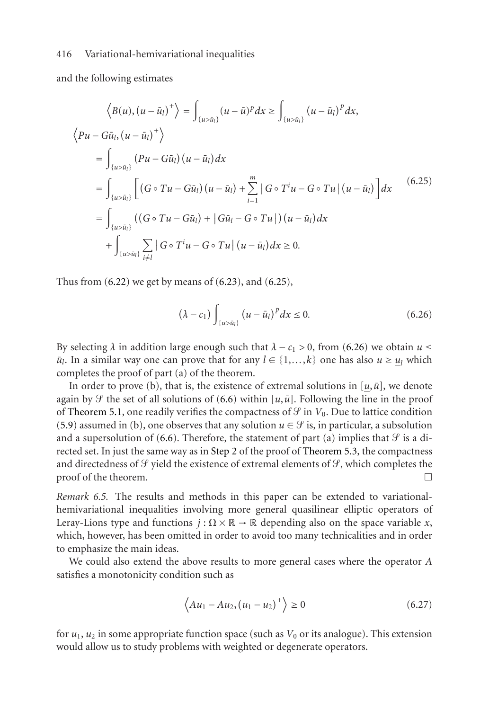and the following estimates

$$
\langle B(u), (u - \bar{u}_l)^+ \rangle = \int_{\{u > \bar{u}_l\}} (u - \bar{u})^p dx \ge \int_{\{u > \bar{u}_l\}} (u - \bar{u}_l)^p dx,
$$
  

$$
\langle Pu - G\bar{u}_l, (u - \bar{u}_l)^+ \rangle
$$
  

$$
= \int_{\{u > \bar{u}_l\}} (Pu - G\bar{u}_l) (u - \bar{u}_l) dx
$$
  

$$
= \int_{\{u > \bar{u}_l\}} [(G \circ Tu - G\bar{u}_l) (u - \bar{u}_l) + \sum_{i=1}^m |G \circ T^i u - G \circ Tu | (u - \bar{u}_l)] dx
$$
  

$$
= \int_{\{u > \bar{u}_l\}} ((G \circ Tu - G\bar{u}_l) + |G\bar{u}_l - G \circ Tu|) (u - \bar{u}_l) dx
$$
  

$$
+ \int_{\{u > \bar{u}_l\}} \sum_{i \neq l} |G \circ T^i u - G \circ Tu | (u - \bar{u}_l) dx \ge 0.
$$
 (6.25)

Thus from  $(6.22)$  we get by means of  $(6.23)$ , and  $(6.25)$ ,

<span id="page-16-1"></span><span id="page-16-0"></span>
$$
\left(\lambda - c_1\right) \int_{\{u > \bar{u}_l\}} \left(u - \bar{u}_l\right)^p dx \le 0. \tag{6.26}
$$

By selecting  $\lambda$  in addition large enough such that  $\lambda - c_1 > 0$ , from [\(6.26\)](#page-16-1) we obtain  $u \leq$  $\bar{u}_l$ . In a similar way one can prove that for any  $l \in \{1,...,k\}$  one has also  $u \geq u_l$  which completes the proof of part (a) of the theorem.

In order to prove (b), that is, the existence of extremal solutions in  $[u, \bar{u}]$ , we denote again by  $\mathcal{G}$  the set of all solutions of [\(6.6\)](#page-12-1) within [ $u$ , $\bar{u}$ ]. Following the line in the proof of [Theorem 5.1,](#page-3-1) one readily verifies the compactness of  $\mathcal G$  in  $V_0$ . Due to lattice condition [\(5.9\)](#page-9-5) assumed in (b), one observes that any solution  $u \in \mathcal{G}$  is, in particular, a subsolution and a supersolution of [\(6.6\)](#page-12-1). Therefore, the statement of part (a) implies that  $\mathcal{G}$  is a directed set. In just the same way as in [Step 2](#page-7-0) of the proof of [Theorem 5.3,](#page-9-3) the compactness and directedness of  $\mathcal G$  yield the existence of extremal elements of  $\mathcal G$ , which completes the  $\Box$  proof of the theorem.

*Remark 6.5.* The results and methods in this paper can be extended to variationalhemivariational inequalities involving more general quasilinear elliptic operators of Leray-Lions type and functions  $j : \Omega \times \mathbb{R} \to \mathbb{R}$  depending also on the space variable *x*, which, however, has been omitted in order to avoid too many technicalities and in order to emphasize the main ideas.

We could also extend the above results to more general cases where the operator *A* satisfies a monotonicity condition such as

$$
\left\langle Au_1 - Au_2, (u_1 - u_2)^+ \right\rangle \ge 0 \tag{6.27}
$$

for  $u_1$ ,  $u_2$  in some appropriate function space (such as  $V_0$  or its analogue). This extension would allow us to study problems with weighted or degenerate operators.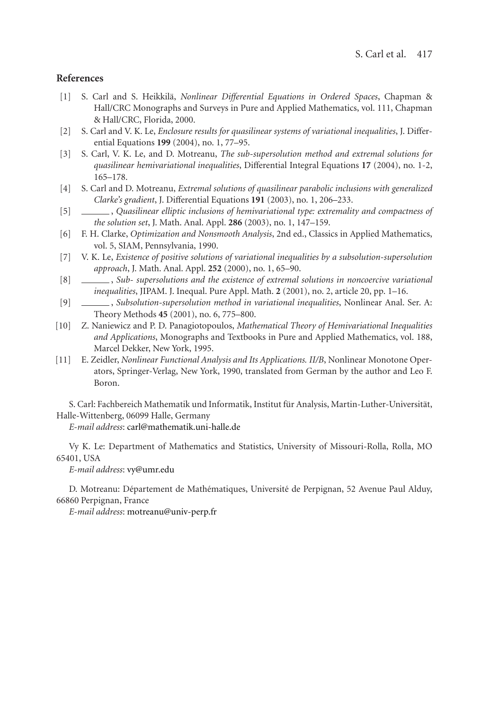#### <span id="page-17-9"></span>**References**

- [1] S. Carl and S. Heikkila,¨ *Nonlinear Differential Equations in Ordered Spaces*, Chapman & Hall/CRC Monographs and Surveys in Pure and Applied Mathematics, vol. 111, Chapman & Hall/CRC, Florida, 2000.
- <span id="page-17-4"></span>[2] S. Carl and V. K. Le, *Enclosure results for quasilinear systems of variational inequalities*, J. Differential Equations **199** (2004), no. 1, 77–95.
- <span id="page-17-1"></span>[3] S. Carl, V. K. Le, and D. Motreanu, *The sub-supersolution method and extremal solutions for quasilinear hemivariational inequalities*, Differential Integral Equations **17** (2004), no. 1-2, 165–178.
- <span id="page-17-5"></span>[4] S. Carl and D. Motreanu, *Extremal solutions of quasilinear parabolic inclusions with generalized Clarke's gradient*, J. Differential Equations **191** (2003), no. 1, 206–233.
- <span id="page-17-6"></span><span id="page-17-0"></span>[5] , *Quasilinear elliptic inclusions of hemivariational type: extremality and compactness of the solution set*, J. Math. Anal. Appl. **286** (2003), no. 1, 147–159.
- [6] F. H. Clarke, *Optimization and Nonsmooth Analysis*, 2nd ed., Classics in Applied Mathematics, vol. 5, SIAM, Pennsylvania, 1990.
- <span id="page-17-10"></span><span id="page-17-2"></span>[7] V. K. Le, *Existence of positive solutions of variational inequalities by a subsolution-supersolution approach*, J. Math. Anal. Appl. **252** (2000), no. 1, 65–90.
- [8] , *Sub- supersolutions and the existence of extremal solutions in noncoercive variational inequalities*, JIPAM. J. Inequal. Pure Appl. Math. **2** (2001), no. 2, article 20, pp. 1–16.
- <span id="page-17-3"></span>[9] , *Subsolution-supersolution method in variational inequalities*, Nonlinear Anal. Ser. A: Theory Methods **45** (2001), no. 6, 775–800.
- <span id="page-17-7"></span>[10] Z. Naniewicz and P. D. Panagiotopoulos, *Mathematical Theory of Hemivariational Inequalities and Applications*, Monographs and Textbooks in Pure and Applied Mathematics, vol. 188, Marcel Dekker, New York, 1995.
- <span id="page-17-8"></span>[11] E. Zeidler, *Nonlinear Functional Analysis and Its Applications. II/B*, Nonlinear Monotone Operators, Springer-Verlag, New York, 1990, translated from German by the author and Leo F. Boron.

S. Carl: Fachbereich Mathematik und Informatik, Institut für Analysis, Martin-Luther-Universität, Halle-Wittenberg, 06099 Halle, Germany

*E-mail address*: [carl@mathematik.uni-halle.de](mailto:carl@mathematik.uni-halle.de)

Vy K. Le: Department of Mathematics and Statistics, University of Missouri-Rolla, Rolla, MO 65401, USA

*E-mail address*: [vy@umr.edu](mailto:vy@umr.edu)

D. Motreanu: Département de Mathématiques, Université de Perpignan, 52 Avenue Paul Alduy, 66860 Perpignan, France

*E-mail address*: [motreanu@univ-perp.fr](mailto:motreanu@univ-perp.fr)